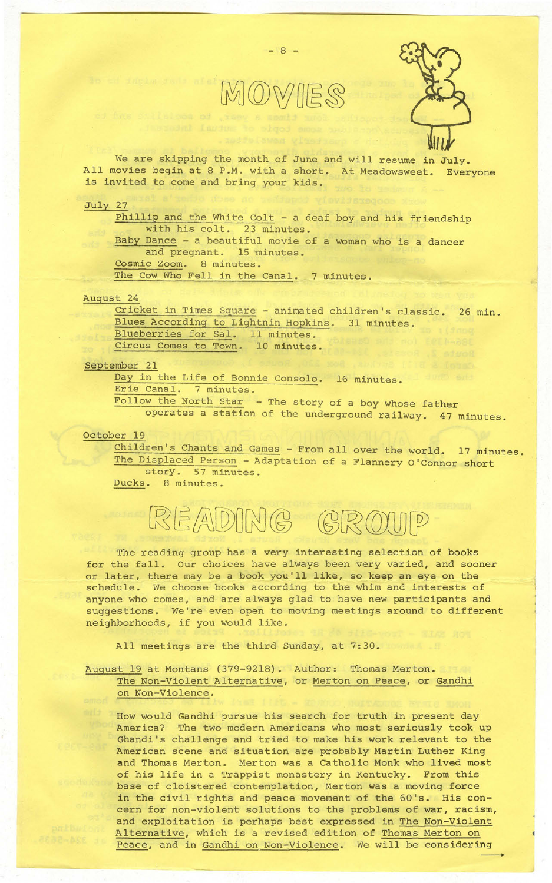

 $- 8 -$ 



We are skipping the month of June and will resume in July. All movies begin at 8 P.M. with a short. At Meadowsweet. Everyone is invited to come and bring your kids.

July 27

Phillip and the White Colt - a deaf boy and his friendship with his colt. 23 minutes. Baby Dance - a beautiful movie of a woman who is a dancer and pregnant. 15 minutes. Cosmic Zoom. 8 minutes. The Cow Who Fell in the Canal. 7 minutes.

## August 24

Cricket in Times Square - animated children's classic. 26 min. Blues According to Lightnin Hopkins. 31 minutes. Blueberries for sal. 11 minutes. Circus Comes to Town. 10 minutes.

## September 21

Day in the Life of Bonnie Consolo. 16 minutes. Erie Canal. 7 minutes. Follow the North Star - The story of a boy whose father operates a station of the underground railway. 47 minutes.

## october 19

Children's Chants and Games - From all over the world. 17 minutes. The Displaced Person - Adaptation of a Flannery O'Connor short story. 57 minutes.

Ducks. 8 minutes.

## READING GROUP

The reading group has a very interesting selection of books for the fall. Our choices have always been very varied, and sooner or later, there may be a book you'll like, so keep an eye on the schedule. We choose books according to the whim and interests of anyone who comes, and are always glad to have new participants and suggestions. We're even open to moving meetings around to different neighborhoods, if you would like.

All meetings are the third Sunday, at 7: 30.

August 19 at Montans (379-9218). Author: Thomas Merton. The Non-Violent Alternative, or Merton on Peace, or Gandhi on Non-Violence.

How would Gandhi pursue his search for truth in present day America? The two modern Americans who most seriously took up Ghandi's challenge and tried to make his work relevant to the American scene and situation are probably Martin Luther King and Thomas Merton. Merton was a Catholic Monk who lived most of his life in a Trappist monastery in Kentucky. From this base of cloistered contemplation, Merton was a moving force in the civil rights and peace movement of the 60's. His concern for non-violent solutions to the problems of war, racism, and exploitation is perhaps best expressed in The Non-Violent Alternative, which is a revised edition of Thomas Merton on Peace, and in Gandhi on Non-Violence. We will be considering